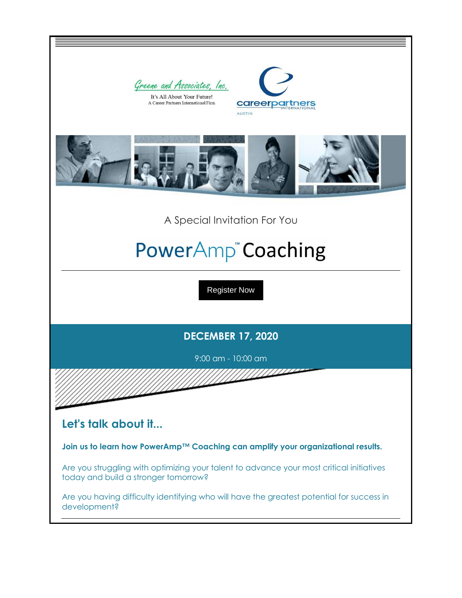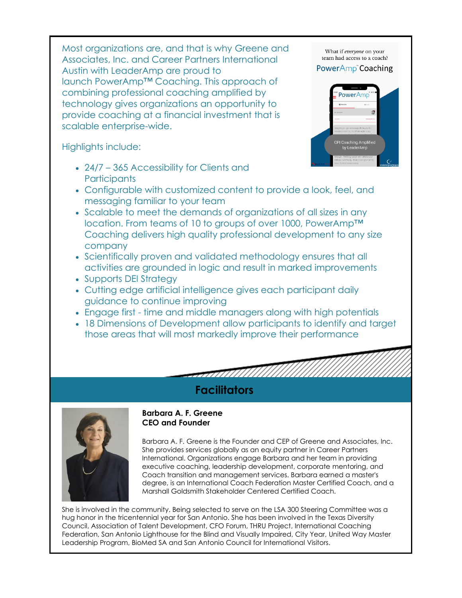Most organizations are, and that is why Greene and Associates, Inc. and Career Partners International Austin with LeaderAmp are proud to launch PowerAmp™ Coaching. This approach of combining professional coaching amplified by technology gives organizations an opportunity to provide coaching at a financial investment that is scalable enterprise-wide.

Highlights include:

- 24/7 365 Accessibility for Clients and **Participants**
- Configurable with customized content to provide a look, feel, and messaging familiar to your team
- Scalable to meet the demands of organizations of all sizes in any location. From teams of 10 to groups of over 1000, PowerAmp™ Coaching delivers high quality professional development to any size company
- Scientifically proven and validated methodology ensures that all activities are grounded in logic and result in marked improvements
- Supports DEI Strategy
- Cutting edge artificial intelligence gives each participant daily guidance to continue improving
- Engage first time and middle managers along with high potentials

**Facilitators**

• 18 Dimensions of Development allow participants to identify and target those areas that will most markedly improve their performance



Barbara A. F. Greene is the Founder and CEP of Greene and Associates, Inc. She provides services globally as an equity partner in Career Partners International. Organizations engage Barbara and her team in providing executive coaching, leadership development, corporate mentoring, and Coach transition and management services. Barbara earned a master's degree, is an International Coach Federation Master Certified Coach, and a Marshall Goldsmith Stakeholder Centered Certified Coach.

She is involved in the community. Being selected to serve on the LSA 300 Steering Committee was a hug honor in the tricentennial year for San Antonio. She has been involved in the Texas Diversity Council, Association of Talent Development, CFO Forum, THRU Project, International Coaching Federation, San Antonio Lighthouse for the Blind and Visually Impaired, City Year, United Way Master Leadership Program, BioMed SA and San Antonio Council for International Visitors.